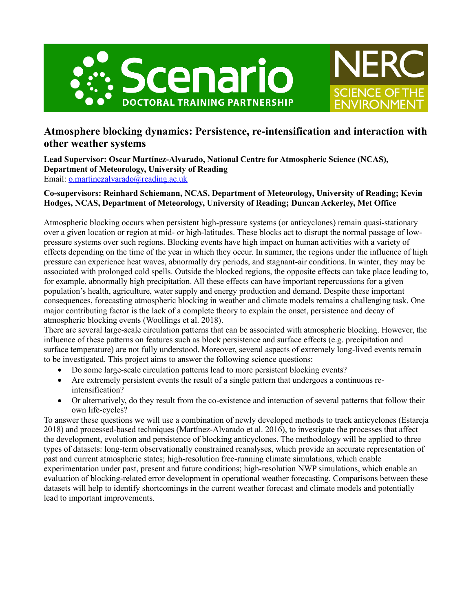



# **Atmosphere blocking dynamics: Persistence, re-intensification and interaction with other weather systems**

**Lead Supervisor: Oscar Martínez-Alvarado, National Centre for Atmospheric Science (NCAS), Department of Meteorology, University of Reading** Email: <u>o.martinezalvarado</u>@reading.ac.uk

## **Co-supervisors: Reinhard Schiemann, NCAS, Department of Meteorology, University of Reading; Kevin Hodges, NCAS, Department of Meteorology, University of Reading; Duncan Ackerley, Met Office**

Atmospheric blocking occurs when persistent high-pressure systems (or anticyclones) remain quasi-stationary over a given location or region at mid- or high-latitudes. These blocks act to disrupt the normal passage of lowpressure systems over such regions. Blocking events have high impact on human activities with a variety of effects depending on the time of the year in which they occur. In summer, the regions under the influence of high pressure can experience heat waves, abnormally dry periods, and stagnant-air conditions. In winter, they may be associated with prolonged cold spells. Outside the blocked regions, the opposite effects can take place leading to, for example, abnormally high precipitation. All these effects can have important repercussions for a given population's health, agriculture, water supply and energy production and demand. Despite these important consequences, forecasting atmospheric blocking in weather and climate models remains a challenging task. One major contributing factor is the lack of a complete theory to explain the onset, persistence and decay of atmospheric blocking events (Woollings et al. 2018).

There are several large-scale circulation patterns that can be associated with atmospheric blocking. However, the influence of these patterns on features such as block persistence and surface effects (e.g. precipitation and surface temperature) are not fully understood. Moreover, several aspects of extremely long-lived events remain to be investigated. This project aims to answer the following science questions:

- Do some large-scale circulation patterns lead to more persistent blocking events?
- Are extremely persistent events the result of a single pattern that undergoes a continuous reintensification?
- Or alternatively, do they result from the co-existence and interaction of several patterns that follow their own life-cycles?

To answer these questions we will use a combination of newly developed methods to track anticyclones (Estareja 2018) and processed-based techniques (Martínez-Alvarado et al. 2016), to investigate the processes that affect the development, evolution and persistence of blocking anticyclones. The methodology will be applied to three types of datasets: long-term observationally constrained reanalyses, which provide an accurate representation of past and current atmospheric states; high-resolution free-running climate simulations, which enable experimentation under past, present and future conditions; high-resolution NWP simulations, which enable an evaluation of blocking-related error development in operational weather forecasting. Comparisons between these datasets will help to identify shortcomings in the current weather forecast and climate models and potentially lead to important improvements.